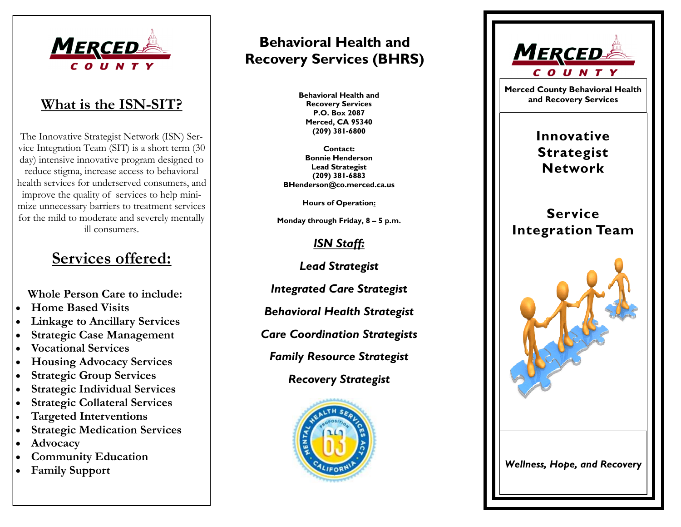

The Innovative Strategist Network (ISN) Service Integration Team (SIT) is a short term (30 day) intensive innovative program designed to reduce stigma, increase access to behavioral health services for underserved consumers, and improve the quality of services to help minimize unnecessary barriers to treatment services for the mild to moderate and severely mentally ill consumers.

# **Services offered:**

 **Whole Person Care to include:** 

- **Home Based Visits**
- **Linkage to Ancillary Services**
- **Strategic Case Management**
- **Vocational Services**
- **Housing Advocacy Services**
- **Strategic Group Services**
- **Strategic Individual Services**
- **Strategic Collateral Services**
- **Targeted Interventions**
- **Strategic Medication Services**
- **Advocacy**
- **Community Education**
- **Family Support**

# **Behavioral Health and Recovery Services (BHRS)**

**Behavioral Health and Recovery Services P.O. Box 2087 Merced, CA 95340 (209) 381-6800**

**Contact: Bonnie Henderson Lead Strategist (209) 381-6883 BHenderson@co.merced.ca.us**

**Hours of Operation:** 

**Monday through Friday, 8 – 5 p.m.**

# *ISN Staff:*

*Lead Strategist*

*Integrated Care Strategist*

*Behavioral Health Strategist*

*Care Coordination Strategists*

*Family Resource Strategist*

*Recovery Strategist*